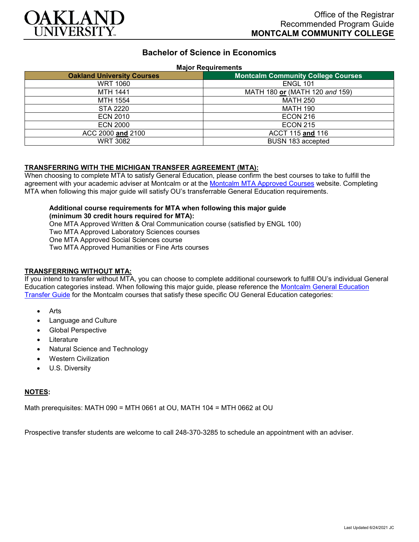

# **Bachelor of Science in Economics**

#### **Major Requirements**

| <b>Oakland University Courses</b> | <b>Montcalm Community College Courses</b> |
|-----------------------------------|-------------------------------------------|
| <b>WRT 1060</b>                   | <b>ENGL 101</b>                           |
| <b>MTH 1441</b>                   | MATH 180 or (MATH 120 and 159)            |
| MTH 1554                          | <b>MATH 250</b>                           |
| STA 2220                          | <b>MATH 190</b>                           |
| <b>ECN 2010</b>                   | <b>ECON 216</b>                           |
| <b>ECN 2000</b>                   | <b>ECON 215</b>                           |
| ACC 2000 and 2100                 | ACCT 115 and 116                          |
| <b>WRT 3082</b>                   | BUSN 183 accepted                         |

### **TRANSFERRING WITH THE MICHIGAN TRANSFER AGREEMENT (MTA):**

When choosing to complete MTA to satisfy General Education, please confirm the best courses to take to fulfill the agreement with your academic adviser at Montcalm or at the [Montcalm MTA Approved Courses](https://www.montcalm.edu/counseling/transfer/) website. Completing MTA when following this major guide will satisfy OU's transferrable General Education requirements.

**Additional course requirements for MTA when following this major guide (minimum 30 credit hours required for MTA):** One MTA Approved Written & Oral Communication course (satisfied by ENGL 100) Two MTA Approved Laboratory Sciences courses One MTA Approved Social Sciences course Two MTA Approved Humanities or Fine Arts courses

### **TRANSFERRING WITHOUT MTA:**

If you intend to transfer without MTA, you can choose to complete additional coursework to fulfill OU's individual General Education categories instead. When following this major guide, please reference the [Montcalm General Education](https://www.oakland.edu/Assets/Oakland/program-guides/montcalm-community-college/university-general-education-requirements/Montcalm%20Gen%20Ed.pdf)  [Transfer Guide](https://www.oakland.edu/Assets/Oakland/program-guides/montcalm-community-college/university-general-education-requirements/Montcalm%20Gen%20Ed.pdf) for the Montcalm courses that satisfy these specific OU General Education categories:

- Arts
- Language and Culture
- Global Perspective
- **Literature**
- Natural Science and Technology
- Western Civilization
- U.S. Diversity

#### **NOTES:**

Math prerequisites: MATH 090 = MTH 0661 at OU, MATH 104 = MTH 0662 at OU

Prospective transfer students are welcome to call 248-370-3285 to schedule an appointment with an adviser.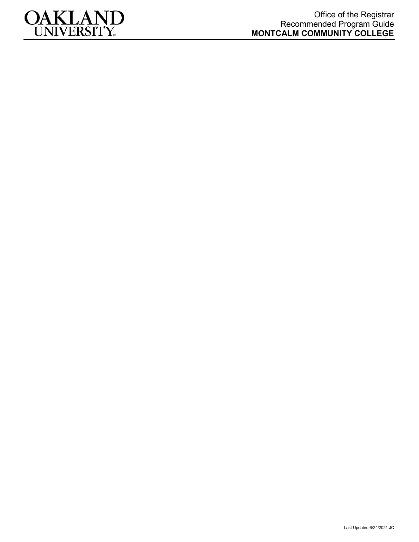